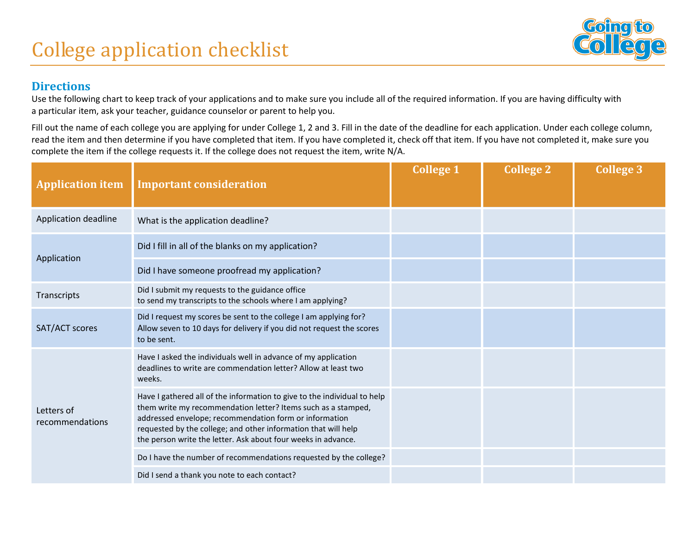

## **Directions**

Use the following chart to keep track of your applications and to make sure you include all of the required information. If you are having difficulty with a particular item, ask your teacher, guidance counselor or parent to help you.

Fill out the name of each college you are applying for under College 1, 2 and 3. Fill in the date of the deadline for each application. Under each college column, read the item and then determine if you have completed that item. If you have completed it, check off that item. If you have not completed it, make sure you complete the item if the college requests it. If the college does not request the item, write N/A.

| <b>Application item</b>       | <b>Important consideration</b>                                                                                                                                                                                                                                                                                                         | <b>College 1</b> | <b>College 2</b> | <b>College 3</b> |
|-------------------------------|----------------------------------------------------------------------------------------------------------------------------------------------------------------------------------------------------------------------------------------------------------------------------------------------------------------------------------------|------------------|------------------|------------------|
| Application deadline          | What is the application deadline?                                                                                                                                                                                                                                                                                                      |                  |                  |                  |
| Application                   | Did I fill in all of the blanks on my application?                                                                                                                                                                                                                                                                                     |                  |                  |                  |
|                               | Did I have someone proofread my application?                                                                                                                                                                                                                                                                                           |                  |                  |                  |
| Transcripts                   | Did I submit my requests to the guidance office<br>to send my transcripts to the schools where I am applying?                                                                                                                                                                                                                          |                  |                  |                  |
| SAT/ACT scores                | Did I request my scores be sent to the college I am applying for?<br>Allow seven to 10 days for delivery if you did not request the scores<br>to be sent.                                                                                                                                                                              |                  |                  |                  |
| Letters of<br>recommendations | Have I asked the individuals well in advance of my application<br>deadlines to write are commendation letter? Allow at least two<br>weeks.                                                                                                                                                                                             |                  |                  |                  |
|                               | Have I gathered all of the information to give to the individual to help<br>them write my recommendation letter? Items such as a stamped,<br>addressed envelope; recommendation form or information<br>requested by the college; and other information that will help<br>the person write the letter. Ask about four weeks in advance. |                  |                  |                  |
|                               | Do I have the number of recommendations requested by the college?                                                                                                                                                                                                                                                                      |                  |                  |                  |
|                               | Did I send a thank you note to each contact?                                                                                                                                                                                                                                                                                           |                  |                  |                  |